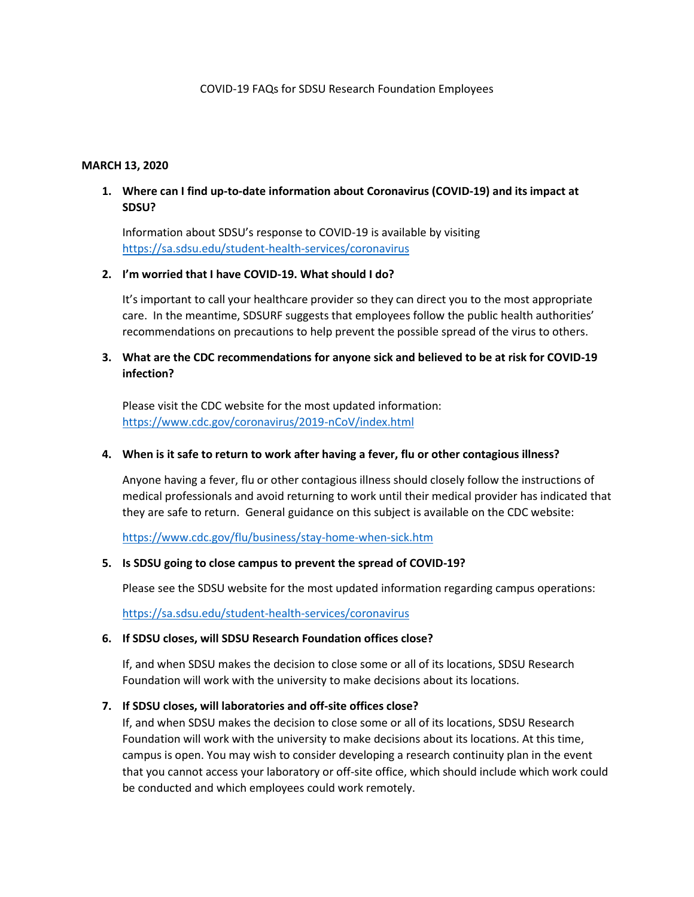#### **MARCH 13, 2020**

### **1. Where can I find up-to-date information about Coronavirus (COVID-19) and its impact at SDSU?**

Information about SDSU's response to COVID-19 is available by visiting <https://sa.sdsu.edu/student-health-services/coronavirus>

#### **2. I'm worried that I have COVID-19. What should I do?**

It's important to call your healthcare provider so they can direct you to the most appropriate care. In the meantime, SDSURF suggests that employees follow the public health authorities' recommendations on precautions to help prevent the possible spread of the virus to others.

## **3. What are the CDC recommendations for anyone sick and believed to be at risk for COVID-19 infection?**

Please visit the CDC website for the most updated information: <https://www.cdc.gov/coronavirus/2019-nCoV/index.html>

#### **4. When is it safe to return to work after having a fever, flu or other contagious illness?**

Anyone having a fever, flu or other contagious illness should closely follow the instructions of medical professionals and avoid returning to work until their medical provider has indicated that they are safe to return. General guidance on this subject is available on the CDC website:

<https://www.cdc.gov/flu/business/stay-home-when-sick.htm>

#### **5. Is SDSU going to close campus to prevent the spread of COVID-19?**

Please see the SDSU website for the most updated information regarding campus operations:

<https://sa.sdsu.edu/student-health-services/coronavirus>

#### **6. If SDSU closes, will SDSU Research Foundation offices close?**

If, and when SDSU makes the decision to close some or all of its locations, SDSU Research Foundation will work with the university to make decisions about its locations.

#### **7. If SDSU closes, will laboratories and off-site offices close?**

If, and when SDSU makes the decision to close some or all of its locations, SDSU Research Foundation will work with the university to make decisions about its locations. At this time, campus is open. You may wish to consider developing a research continuity plan in the event that you cannot access your laboratory or off-site office, which should include which work could be conducted and which employees could work remotely.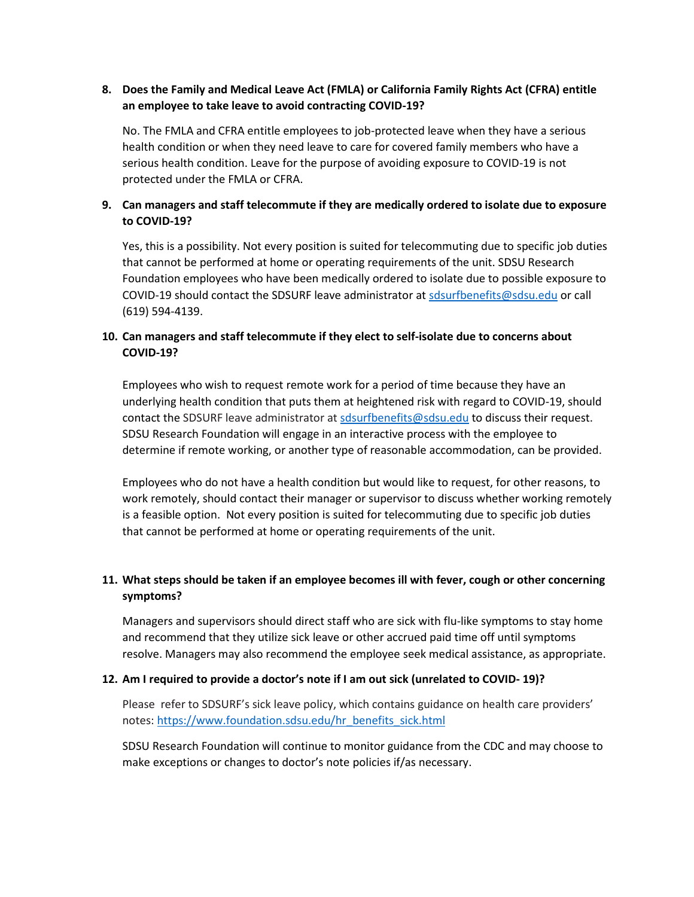# **8. Does the Family and Medical Leave Act (FMLA) or California Family Rights Act (CFRA) entitle an employee to take leave to avoid contracting COVID-19?**

No. The FMLA and CFRA entitle employees to job-protected leave when they have a serious health condition or when they need leave to care for covered family members who have a serious health condition. Leave for the purpose of avoiding exposure to COVID-19 is not protected under the FMLA or CFRA.

# **9. Can managers and staff telecommute if they are medically ordered to isolate due to exposure to COVID-19?**

Yes, this is a possibility. Not every position is suited for telecommuting due to specific job duties that cannot be performed at home or operating requirements of the unit. SDSU Research Foundation employees who have been medically ordered to isolate due to possible exposure to COVID-19 should contact the SDSURF leave administrator at [sdsurfbenefits@sdsu.edu](mailto:sdsurfbenefits@sdsu.edu) or call (619) 594-4139.

# **10. Can managers and staff telecommute if they elect to self-isolate due to concerns about COVID-19?**

Employees who wish to request remote work for a period of time because they have an underlying health condition that puts them at heightened risk with regard to COVID-19, should contact the SDSURF leave administrator at [sdsurfbenefits@sdsu.edu](mailto:sdsurfbenefits@sdsu.edu) to discuss their request. SDSU Research Foundation will engage in an interactive process with the employee to determine if remote working, or another type of reasonable accommodation, can be provided.

Employees who do not have a health condition but would like to request, for other reasons, to work remotely, should contact their manager or supervisor to discuss whether working remotely is a feasible option. Not every position is suited for telecommuting due to specific job duties that cannot be performed at home or operating requirements of the unit.

# **11. What steps should be taken if an employee becomes ill with fever, cough or other concerning symptoms?**

Managers and supervisors should direct staff who are sick with flu-like symptoms to stay home and recommend that they utilize sick leave or other accrued paid time off until symptoms resolve. Managers may also recommend the employee seek medical assistance, as appropriate.

### **12. Am I required to provide a doctor's note if I am out sick (unrelated to COVID- 19)?**

Please refer to SDSURF's sick leave policy, which contains guidance on health care providers' notes: [https://www.foundation.sdsu.edu/hr\\_benefits\\_sick.html](https://www.foundation.sdsu.edu/hr_benefits_sick.html)

SDSU Research Foundation will continue to monitor guidance from the CDC and may choose to make exceptions or changes to doctor's note policies if/as necessary.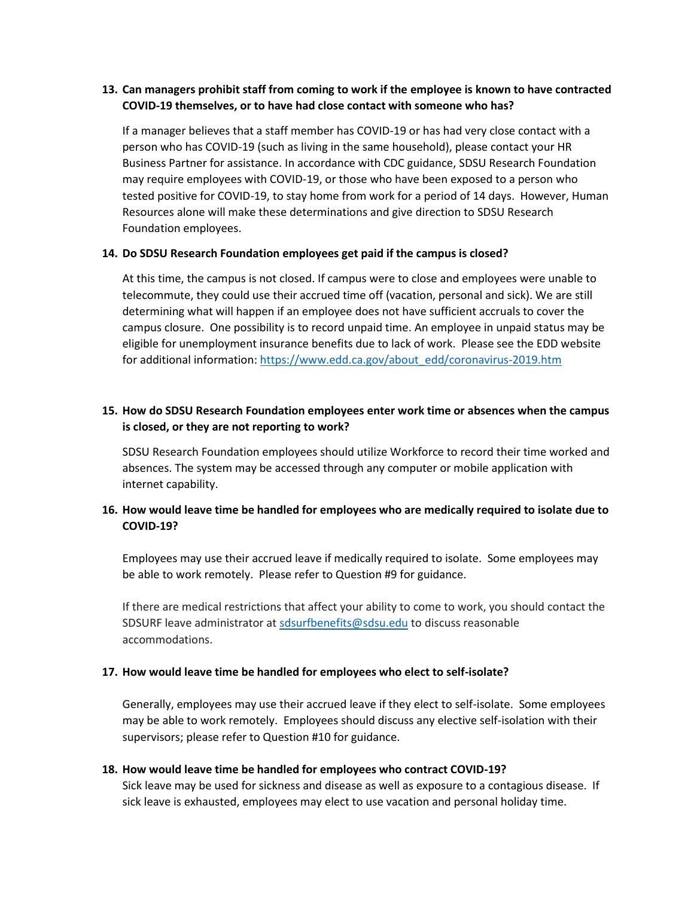# **13. Can managers prohibit staff from coming to work if the employee is known to have contracted COVID-19 themselves, or to have had close contact with someone who has?**

If a manager believes that a staff member has COVID-19 or has had very close contact with a person who has COVID-19 (such as living in the same household), please contact your HR Business Partner for assistance. In accordance with CDC guidance, SDSU Research Foundation may require employees with COVID-19, or those who have been exposed to a person who tested positive for COVID-19, to stay home from work for a period of 14 days. However, Human Resources alone will make these determinations and give direction to SDSU Research Foundation employees.

### **14. Do SDSU Research Foundation employees get paid if the campus is closed?**

At this time, the campus is not closed. If campus were to close and employees were unable to telecommute, they could use their accrued time off (vacation, personal and sick). We are still determining what will happen if an employee does not have sufficient accruals to cover the campus closure. One possibility is to record unpaid time. An employee in unpaid status may be eligible for unemployment insurance benefits due to lack of work. Please see the EDD website for additional information: [https://www.edd.ca.gov/about\\_edd/coronavirus-2019.htm](https://www.edd.ca.gov/about_edd/coronavirus-2019.htm)

## **15. How do SDSU Research Foundation employees enter work time or absences when the campus is closed, or they are not reporting to work?**

SDSU Research Foundation employees should utilize Workforce to record their time worked and absences. The system may be accessed through any computer or mobile application with internet capability.

### **16. How would leave time be handled for employees who are medically required to isolate due to COVID-19?**

Employees may use their accrued leave if medically required to isolate. Some employees may be able to work remotely. Please refer to Question #9 for guidance.

If there are medical restrictions that affect your ability to come to work, you should contact the SDSURF leave administrator a[t sdsurfbenefits@sdsu.edu](mailto:sdsurfbenefits@sdsu.edu) to discuss reasonable accommodations.

#### **17. How would leave time be handled for employees who elect to self-isolate?**

Generally, employees may use their accrued leave if they elect to self-isolate. Some employees may be able to work remotely. Employees should discuss any elective self-isolation with their supervisors; please refer to Question #10 for guidance.

#### **18. How would leave time be handled for employees who contract COVID-19?**

Sick leave may be used for sickness and disease as well as exposure to a contagious disease. If sick leave is exhausted, employees may elect to use vacation and personal holiday time.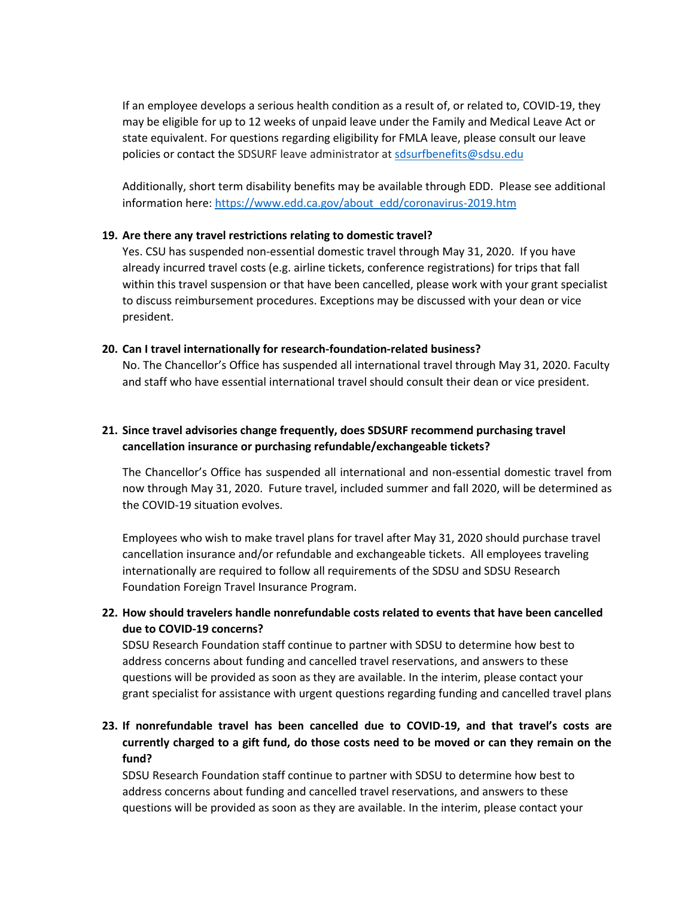If an employee develops a serious health condition as a result of, or related to, COVID-19, they may be eligible for up to 12 weeks of unpaid leave under the Family and Medical Leave Act or state equivalent. For questions regarding eligibility for FMLA leave, please consult our leave policies or contact the SDSURF leave administrator at [sdsurfbenefits@sdsu.edu](mailto:sdsurfbenefits@sdsu.edu)

Additionally, short term disability benefits may be available through EDD. Please see additional information here: [https://www.edd.ca.gov/about\\_edd/coronavirus-2019.htm](https://www.edd.ca.gov/about_edd/coronavirus-2019.htm)

### **19. Are there any travel restrictions relating to domestic travel?**

Yes. CSU has suspended non-essential domestic travel through May 31, 2020. If you have already incurred travel costs (e.g. airline tickets, conference registrations) for trips that fall within this travel suspension or that have been cancelled, please work with your grant specialist to discuss reimbursement procedures. Exceptions may be discussed with your dean or vice president.

### **20. Can I travel internationally for research-foundation-related business?**

No. The Chancellor's Office has suspended all international travel through May 31, 2020. Faculty and staff who have essential international travel should consult their dean or vice president.

# **21. Since travel advisories change frequently, does SDSURF recommend purchasing travel cancellation insurance or purchasing refundable/exchangeable tickets?**

The Chancellor's Office has suspended all international and non-essential domestic travel from now through May 31, 2020. Future travel, included summer and fall 2020, will be determined as the COVID-19 situation evolves.

Employees who wish to make travel plans for travel after May 31, 2020 should purchase travel cancellation insurance and/or refundable and exchangeable tickets. All employees traveling internationally are required to follow all requirements of the SDSU and SDSU Research Foundation Foreign Travel Insurance Program.

### **22. How should travelers handle nonrefundable costs related to events that have been cancelled due to COVID-19 concerns?**

SDSU Research Foundation staff continue to partner with SDSU to determine how best to address concerns about funding and cancelled travel reservations, and answers to these questions will be provided as soon as they are available. In the interim, please contact your grant specialist for assistance with urgent questions regarding funding and cancelled travel plans

# **23. If nonrefundable travel has been cancelled due to COVID-19, and that travel's costs are currently charged to a gift fund, do those costs need to be moved or can they remain on the fund?**

SDSU Research Foundation staff continue to partner with SDSU to determine how best to address concerns about funding and cancelled travel reservations, and answers to these questions will be provided as soon as they are available. In the interim, please contact your